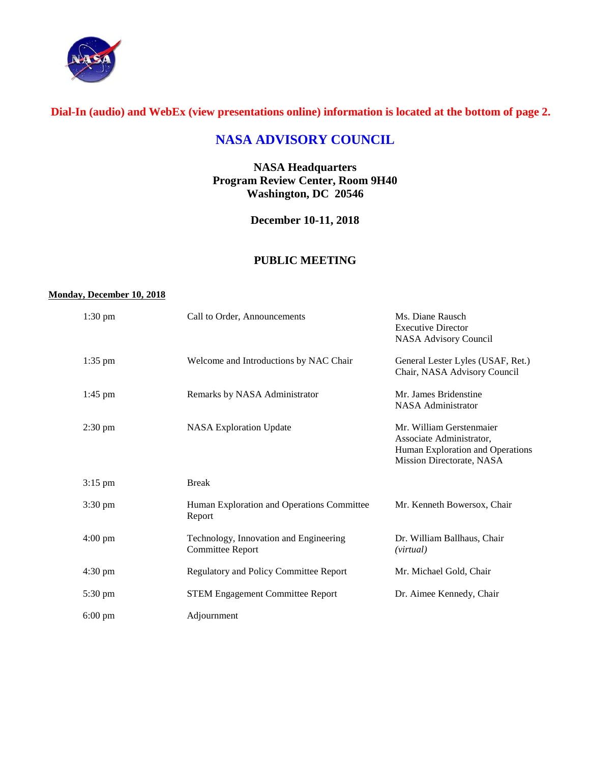

# **Dial-In (audio) and WebEx (view presentations online) information is located at the bottom of page 2.**

# **NASA ADVISORY COUNCIL**

**NASA Headquarters Program Review Center, Room 9H40 Washington, DC 20546**

**December 10-11, 2018**

## **PUBLIC MEETING**

#### **Monday, December 10, 2018**

| $1:30 \text{ pm}$ | Call to Order, Announcements                                      | Ms. Diane Rausch<br><b>Executive Director</b><br><b>NASA Advisory Council</b>                                         |
|-------------------|-------------------------------------------------------------------|-----------------------------------------------------------------------------------------------------------------------|
| $1:35$ pm         | Welcome and Introductions by NAC Chair                            | General Lester Lyles (USAF, Ret.)<br>Chair, NASA Advisory Council                                                     |
| $1:45$ pm         | Remarks by NASA Administrator                                     | Mr. James Bridenstine<br><b>NASA Administrator</b>                                                                    |
| $2:30 \text{ pm}$ | <b>NASA Exploration Update</b>                                    | Mr. William Gerstenmaier<br>Associate Administrator,<br>Human Exploration and Operations<br>Mission Directorate, NASA |
| $3:15$ pm         | <b>Break</b>                                                      |                                                                                                                       |
| $3:30 \text{ pm}$ | Human Exploration and Operations Committee<br>Report              | Mr. Kenneth Bowersox, Chair                                                                                           |
| $4:00 \text{ pm}$ | Technology, Innovation and Engineering<br><b>Committee Report</b> | Dr. William Ballhaus, Chair<br>(virtual)                                                                              |
| $4:30 \text{ pm}$ | <b>Regulatory and Policy Committee Report</b>                     | Mr. Michael Gold, Chair                                                                                               |
| $5:30 \text{ pm}$ | <b>STEM Engagement Committee Report</b>                           | Dr. Aimee Kennedy, Chair                                                                                              |
| $6:00 \text{ pm}$ | Adjournment                                                       |                                                                                                                       |